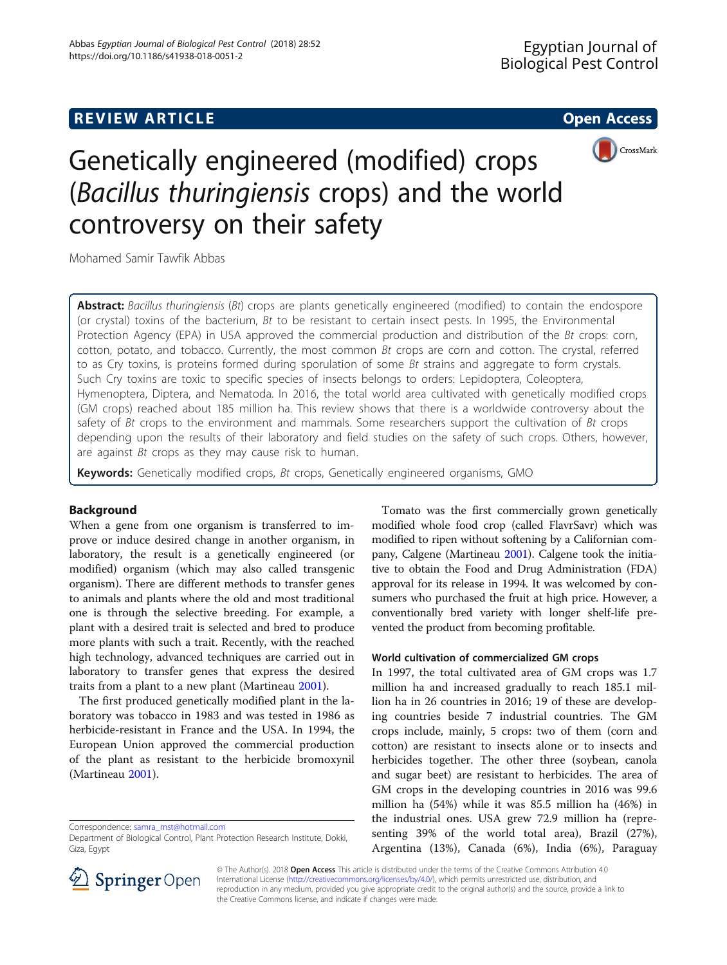# **REVIEW ARTICLE External intervention of the Contract Contract Contract Contract Contract Contract Contract Contract Contract Contract Contract Contract Contract Contract Contract Contract Contract Contract Contract Cont**



# Genetically engineered (modified) crops (Bacillus thuringiensis crops) and the world controversy on their safety

Mohamed Samir Tawfik Abbas

Abstract: Bacillus thuringiensis (Bt) crops are plants genetically engineered (modified) to contain the endospore (or crystal) toxins of the bacterium, Bt to be resistant to certain insect pests. In 1995, the Environmental Protection Agency (EPA) in USA approved the commercial production and distribution of the Bt crops: corn, cotton, potato, and tobacco. Currently, the most common Bt crops are corn and cotton. The crystal, referred to as Cry toxins, is proteins formed during sporulation of some Bt strains and aggregate to form crystals. Such Cry toxins are toxic to specific species of insects belongs to orders: Lepidoptera, Coleoptera, Hymenoptera, Diptera, and Nematoda. In 2016, the total world area cultivated with genetically modified crops (GM crops) reached about 185 million ha. This review shows that there is a worldwide controversy about the safety of Bt crops to the environment and mammals. Some researchers support the cultivation of Bt crops depending upon the results of their laboratory and field studies on the safety of such crops. Others, however, are against Bt crops as they may cause risk to human.

Keywords: Genetically modified crops, Bt crops, Genetically engineered organisms, GMO

# Background

When a gene from one organism is transferred to improve or induce desired change in another organism, in laboratory, the result is a genetically engineered (or modified) organism (which may also called transgenic organism). There are different methods to transfer genes to animals and plants where the old and most traditional one is through the selective breeding. For example, a plant with a desired trait is selected and bred to produce more plants with such a trait. Recently, with the reached high technology, advanced techniques are carried out in laboratory to transfer genes that express the desired traits from a plant to a new plant (Martineau [2001](#page-11-0)).

The first produced genetically modified plant in the laboratory was tobacco in 1983 and was tested in 1986 as herbicide-resistant in France and the USA. In 1994, the European Union approved the commercial production of the plant as resistant to the herbicide bromoxynil (Martineau [2001\)](#page-11-0).

Correspondence: [samra\\_mst@hotmail.com](mailto:samra_mst@hotmail.com)

Tomato was the first commercially grown genetically modified whole food crop (called FlavrSavr) which was modified to ripen without softening by a Californian company, Calgene (Martineau [2001\)](#page-11-0). Calgene took the initiative to obtain the Food and Drug Administration (FDA) approval for its release in 1994. It was welcomed by consumers who purchased the fruit at high price. However, a conventionally bred variety with longer shelf-life prevented the product from becoming profitable.

# World cultivation of commercialized GM crops

In 1997, the total cultivated area of GM crops was 1.7 million ha and increased gradually to reach 185.1 million ha in 26 countries in 2016; 19 of these are developing countries beside 7 industrial countries. The GM crops include, mainly, 5 crops: two of them (corn and cotton) are resistant to insects alone or to insects and herbicides together. The other three (soybean, canola and sugar beet) are resistant to herbicides. The area of GM crops in the developing countries in 2016 was 99.6 million ha (54%) while it was 85.5 million ha (46%) in the industrial ones. USA grew 72.9 million ha (representing 39% of the world total area), Brazil (27%), Argentina (13%), Canada (6%), India (6%), Paraguay



© The Author(s). 2018 Open Access This article is distributed under the terms of the Creative Commons Attribution 4.0 International License ([http://creativecommons.org/licenses/by/4.0/\)](http://creativecommons.org/licenses/by/4.0/), which permits unrestricted use, distribution, and reproduction in any medium, provided you give appropriate credit to the original author(s) and the source, provide a link to the Creative Commons license, and indicate if changes were made.

Department of Biological Control, Plant Protection Research Institute, Dokki, Giza, Egypt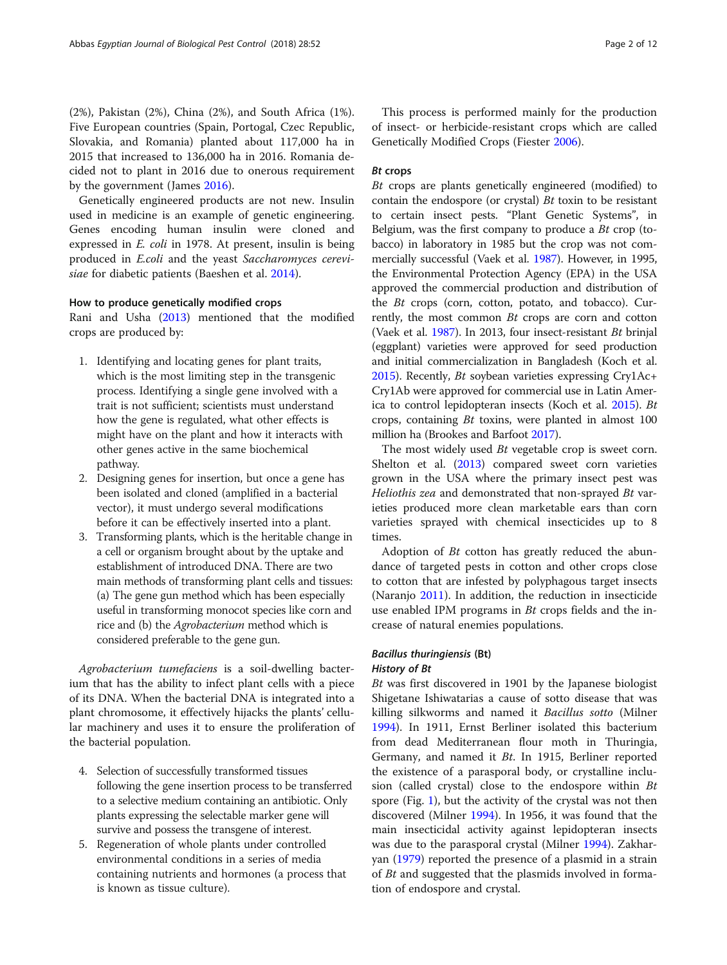(2%), Pakistan (2%), China (2%), and South Africa (1%). Five European countries (Spain, Portogal, Czec Republic, Slovakia, and Romania) planted about 117,000 ha in 2015 that increased to 136,000 ha in 2016. Romania decided not to plant in 2016 due to onerous requirement by the government (James [2016\)](#page-11-0).

Genetically engineered products are not new. Insulin used in medicine is an example of genetic engineering. Genes encoding human insulin were cloned and expressed in E. coli in 1978. At present, insulin is being produced in E.coli and the yeast Saccharomyces cerevisiae for diabetic patients (Baeshen et al. [2014\)](#page-10-0).

## How to produce genetically modified crops

Rani and Usha [\(2013\)](#page-11-0) mentioned that the modified crops are produced by:

- 1. Identifying and locating genes for plant traits, which is the most limiting step in the transgenic process. Identifying a single gene involved with a trait is not sufficient; scientists must understand how the gene is regulated, what other effects is might have on the plant and how it interacts with other genes active in the same biochemical pathway.
- 2. Designing genes for insertion, but once a gene has been isolated and cloned (amplified in a bacterial vector), it must undergo several modifications before it can be effectively inserted into a plant.
- 3. Transforming plants, which is the heritable change in a cell or organism brought about by the uptake and establishment of introduced DNA. There are two main methods of transforming plant cells and tissues: (a) The gene gun method which has been especially useful in transforming monocot species like corn and rice and (b) the Agrobacterium method which is considered preferable to the gene gun.

Agrobacterium tumefaciens is a soil-dwelling bacterium that has the ability to infect plant cells with a piece of its DNA. When the bacterial DNA is integrated into a plant chromosome, it effectively hijacks the plants' cellular machinery and uses it to ensure the proliferation of the bacterial population.

- 4. Selection of successfully transformed tissues following the gene insertion process to be transferred to a selective medium containing an antibiotic. Only plants expressing the selectable marker gene will survive and possess the transgene of interest.
- 5. Regeneration of whole plants under controlled environmental conditions in a series of media containing nutrients and hormones (a process that is known as tissue culture).

This process is performed mainly for the production of insect- or herbicide-resistant crops which are called Genetically Modified Crops (Fiester [2006](#page-10-0)).

# Bt crops

Bt crops are plants genetically engineered (modified) to contain the endospore (or crystal)  $Bt$  toxin to be resistant to certain insect pests. "Plant Genetic Systems", in Belgium, was the first company to produce a  $Bt$  crop (tobacco) in laboratory in 1985 but the crop was not commercially successful (Vaek et al. [1987](#page-11-0)). However, in 1995, the Environmental Protection Agency (EPA) in the USA approved the commercial production and distribution of the Bt crops (corn, cotton, potato, and tobacco). Currently, the most common Bt crops are corn and cotton (Vaek et al. [1987\)](#page-11-0). In 2013, four insect-resistant Bt brinjal (eggplant) varieties were approved for seed production and initial commercialization in Bangladesh (Koch et al. [2015](#page-11-0)). Recently, Bt soybean varieties expressing Cry1Ac+ Cry1Ab were approved for commercial use in Latin America to control lepidopteran insects (Koch et al. [2015\)](#page-11-0). Bt crops, containing Bt toxins, were planted in almost 100 million ha (Brookes and Barfoot [2017\)](#page-10-0).

The most widely used *Bt* vegetable crop is sweet corn. Shelton et al. ([2013](#page-11-0)) compared sweet corn varieties grown in the USA where the primary insect pest was Heliothis zea and demonstrated that non-sprayed Bt varieties produced more clean marketable ears than corn varieties sprayed with chemical insecticides up to 8 times.

Adoption of  $Bt$  cotton has greatly reduced the abundance of targeted pests in cotton and other crops close to cotton that are infested by polyphagous target insects (Naranjo [2011](#page-11-0)). In addition, the reduction in insecticide use enabled IPM programs in  $Bt$  crops fields and the increase of natural enemies populations.

# Bacillus thuringiensis (Bt) History of Bt

Bt was first discovered in 1901 by the Japanese biologist Shigetane Ishiwatarias a cause of sotto disease that was killing silkworms and named it Bacillus sotto (Milner [1994](#page-11-0)). In 1911, Ernst Berliner isolated this bacterium from dead Mediterranean flour moth in Thuringia, Germany, and named it Bt. In 1915, Berliner reported the existence of a parasporal body, or crystalline inclusion (called crystal) close to the endospore within  $Bt$ spore (Fig. [1\)](#page-2-0), but the activity of the crystal was not then discovered (Milner [1994](#page-11-0)). In 1956, it was found that the main insecticidal activity against lepidopteran insects was due to the parasporal crystal (Milner [1994\)](#page-11-0). Zakharyan [\(1979\)](#page-11-0) reported the presence of a plasmid in a strain of Bt and suggested that the plasmids involved in formation of endospore and crystal.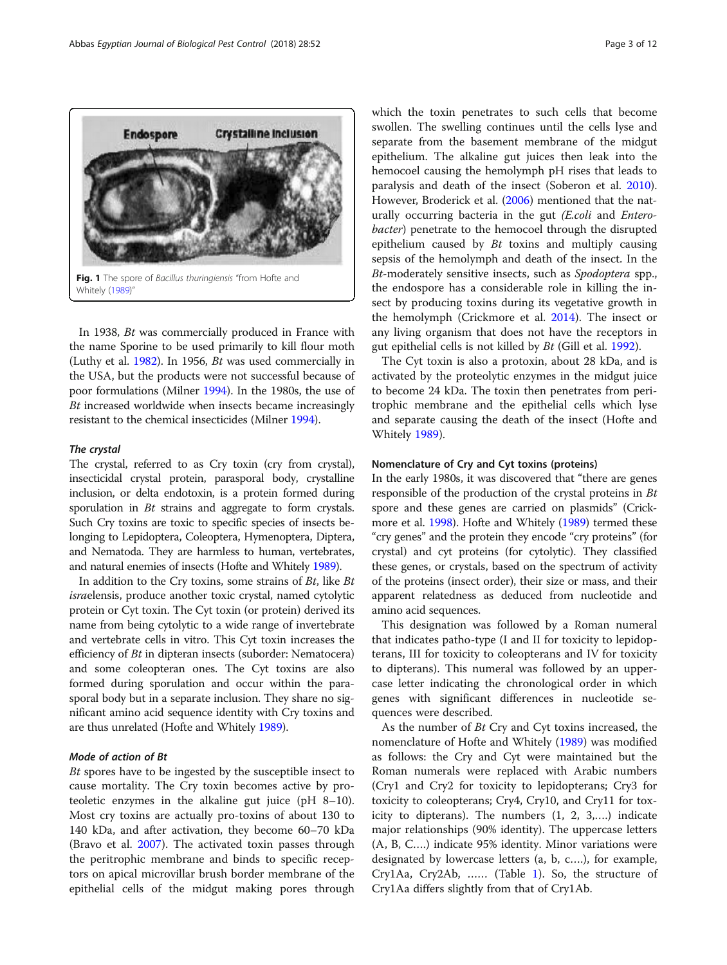<span id="page-2-0"></span>

In 1938, Bt was commercially produced in France with the name Sporine to be used primarily to kill flour moth (Luthy et al. [1982\)](#page-11-0). In 1956, Bt was used commercially in the USA, but the products were not successful because of poor formulations (Milner [1994\)](#page-11-0). In the 1980s, the use of Bt increased worldwide when insects became increasingly resistant to the chemical insecticides (Milner [1994\)](#page-11-0).

#### The crystal

The crystal, referred to as Cry toxin (cry from crystal), insecticidal crystal protein, parasporal body, crystalline inclusion, or delta endotoxin, is a protein formed during sporulation in *Bt* strains and aggregate to form crystals. Such Cry toxins are toxic to specific species of insects belonging to Lepidoptera, Coleoptera, Hymenoptera, Diptera, and Nematoda. They are harmless to human, vertebrates, and natural enemies of insects (Hofte and Whitely [1989](#page-11-0)).

In addition to the Cry toxins, some strains of  $Bt$ , like  $Bt$ israelensis, produce another toxic crystal, named cytolytic protein or Cyt toxin. The Cyt toxin (or protein) derived its name from being cytolytic to a wide range of invertebrate and vertebrate cells in vitro. This Cyt toxin increases the efficiency of Bt in dipteran insects (suborder: Nematocera) and some coleopteran ones. The Cyt toxins are also formed during sporulation and occur within the parasporal body but in a separate inclusion. They share no significant amino acid sequence identity with Cry toxins and are thus unrelated (Hofte and Whitely [1989](#page-11-0)).

# Mode of action of Bt

Bt spores have to be ingested by the susceptible insect to cause mortality. The Cry toxin becomes active by proteoletic enzymes in the alkaline gut juice (pH 8–10). Most cry toxins are actually pro-toxins of about 130 to 140 kDa, and after activation, they become 60–70 kDa (Bravo et al. [2007](#page-10-0)). The activated toxin passes through the peritrophic membrane and binds to specific receptors on apical microvillar brush border membrane of the epithelial cells of the midgut making pores through which the toxin penetrates to such cells that become swollen. The swelling continues until the cells lyse and separate from the basement membrane of the midgut epithelium. The alkaline gut juices then leak into the hemocoel causing the hemolymph pH rises that leads to paralysis and death of the insect (Soberon et al. [2010](#page-11-0)). However, Broderick et al. [\(2006](#page-10-0)) mentioned that the naturally occurring bacteria in the gut *(E.coli* and *Entero*bacter) penetrate to the hemocoel through the disrupted epithelium caused by  $Bt$  toxins and multiply causing sepsis of the hemolymph and death of the insect. In the Bt-moderately sensitive insects, such as Spodoptera spp., the endospore has a considerable role in killing the insect by producing toxins during its vegetative growth in the hemolymph (Crickmore et al. [2014](#page-10-0)). The insect or any living organism that does not have the receptors in gut epithelial cells is not killed by Bt (Gill et al. [1992](#page-10-0)).

The Cyt toxin is also a protoxin, about 28 kDa, and is activated by the proteolytic enzymes in the midgut juice to become 24 kDa. The toxin then penetrates from peritrophic membrane and the epithelial cells which lyse and separate causing the death of the insect (Hofte and Whitely [1989\)](#page-11-0).

# Nomenclature of Cry and Cyt toxins (proteins)

In the early 1980s, it was discovered that "there are genes responsible of the production of the crystal proteins in Bt spore and these genes are carried on plasmids" (Crickmore et al. [1998\)](#page-10-0). Hofte and Whitely ([1989\)](#page-11-0) termed these "cry genes" and the protein they encode "cry proteins" (for crystal) and cyt proteins (for cytolytic). They classified these genes, or crystals, based on the spectrum of activity of the proteins (insect order), their size or mass, and their apparent relatedness as deduced from nucleotide and amino acid sequences.

This designation was followed by a Roman numeral that indicates patho-type (I and II for toxicity to lepidopterans, III for toxicity to coleopterans and IV for toxicity to dipterans). This numeral was followed by an uppercase letter indicating the chronological order in which genes with significant differences in nucleotide sequences were described.

As the number of Bt Cry and Cyt toxins increased, the nomenclature of Hofte and Whitely [\(1989\)](#page-11-0) was modified as follows: the Cry and Cyt were maintained but the Roman numerals were replaced with Arabic numbers (Cry1 and Cry2 for toxicity to lepidopterans; Cry3 for toxicity to coleopterans; Cry4, Cry10, and Cry11 for toxicity to dipterans). The numbers (1, 2, 3,….) indicate major relationships (90% identity). The uppercase letters (A, B, C….) indicate 95% identity. Minor variations were designated by lowercase letters (a, b, c….), for example, Cry1Aa, Cry2Ab, …… (Table [1](#page-3-0)). So, the structure of Cry1Aa differs slightly from that of Cry1Ab.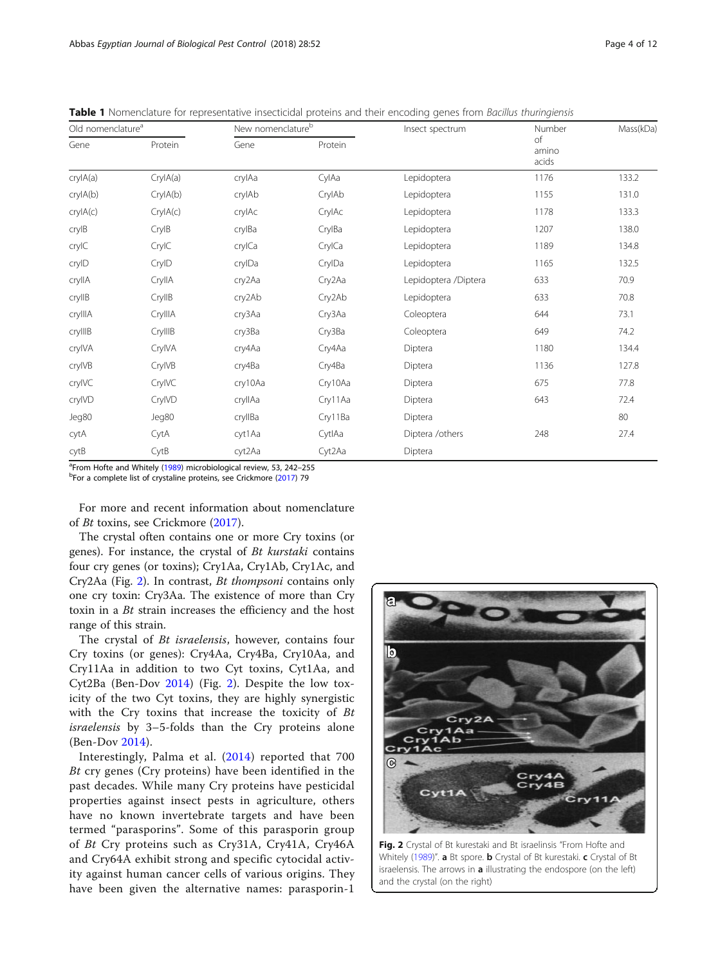| Old nomenclature <sup>a</sup> |          | New nomenclature <sup>b</sup> |         | Insect spectrum      | Number               | Mass(kDa) |
|-------------------------------|----------|-------------------------------|---------|----------------------|----------------------|-----------|
| Gene                          | Protein  | Gene                          | Protein |                      | of<br>amino<br>acids |           |
| crylA(a)                      | CryIA(a) | crylAa                        | CylAa   | Lepidoptera          | 1176                 | 133.2     |
| crylA(b)                      | CryIA(b) | crylAb                        | CrylAb  | Lepidoptera          | 1155                 | 131.0     |
| crylA(c)                      | CrylA(c) | crylAc                        | CrylAc  | Lepidoptera          | 1178                 | 133.3     |
| crylB                         | CrylB    | crylBa                        | CrylBa  | Lepidoptera          | 1207                 | 138.0     |
| crylC                         | CrylC    | crylCa                        | CrylCa  | Lepidoptera          | 1189                 | 134.8     |
| cryID                         | CryID    | crylDa                        | CrylDa  | Lepidoptera          | 1165                 | 132.5     |
| cryllA                        | CryllA   | cry2Aa                        | Cry2Aa  | Lepidoptera /Diptera | 633                  | 70.9      |
| cryllB                        | CryllB   | cry2Ab                        | Cry2Ab  | Lepidoptera          | 633                  | 70.8      |
| crylllA                       | CryllIA  | cry3Aa                        | Cry3Aa  | Coleoptera           | 644                  | 73.1      |
| cryllIB                       | CryllIB  | cry3Ba                        | Cry3Ba  | Coleoptera           | 649                  | 74.2      |
| crylVA                        | CrylVA   | cry4Aa                        | Cry4Aa  | Diptera              | 1180                 | 134.4     |
| crylVB                        | CryIVB   | cry4Ba                        | Cry4Ba  | Diptera              | 1136                 | 127.8     |
| cryIVC                        | CryIVC   | cry10Aa                       | Cry10Aa | Diptera              | 675                  | 77.8      |
| cryIVD                        | CryIVD   | cryllAa                       | Cry11Aa | Diptera              | 643                  | 72.4      |
| Jeg80                         | Jeg80    | cryllBa                       | Cry11Ba | Diptera              |                      | 80        |
| cytA                          | CytA     | cyt1Aa                        | CytlAa  | Diptera /others      | 248                  | 27.4      |
| cytB                          | CytB     | cyt2Aa                        | Cyt2Aa  | Diptera              |                      |           |

<span id="page-3-0"></span>Table 1 Nomenclature for representative insecticidal proteins and their encoding genes from Bacillus thuringiensis

<sup>a</sup> From Hofte and Whitely [\(1989\)](#page-11-0) microbiological review, 53, 242–255<br><sup>b</sup> For a somplete list of spretaling proteins, see Criskmore (2017) 79

<sup>b</sup>For a complete list of crystaline proteins, see Crickmore ([2017\)](#page-10-0) 79

For more and recent information about nomenclature of Bt toxins, see Crickmore ([2017\)](#page-10-0).

The crystal often contains one or more Cry toxins (or genes). For instance, the crystal of Bt kurstaki contains four cry genes (or toxins); Cry1Aa, Cry1Ab, Cry1Ac, and Cry2Aa (Fig. 2). In contrast, Bt thompsoni contains only one cry toxin: Cry3Aa. The existence of more than Cry toxin in a Bt strain increases the efficiency and the host range of this strain.

The crystal of Bt israelensis, however, contains four Cry toxins (or genes): Cry4Aa, Cry4Ba, Cry10Aa, and Cry11Aa in addition to two Cyt toxins, Cyt1Aa, and Cyt2Ba (Ben-Dov [2014\)](#page-10-0) (Fig. 2). Despite the low toxicity of the two Cyt toxins, they are highly synergistic with the Cry toxins that increase the toxicity of Bt israelensis by 3–5-folds than the Cry proteins alone (Ben-Dov [2014\)](#page-10-0).

Interestingly, Palma et al. ([2014\)](#page-11-0) reported that 700 Bt cry genes (Cry proteins) have been identified in the past decades. While many Cry proteins have pesticidal properties against insect pests in agriculture, others have no known invertebrate targets and have been termed "parasporins". Some of this parasporin group of Bt Cry proteins such as Cry31A, Cry41A, Cry46A and Cry64A exhibit strong and specific cytocidal activity against human cancer cells of various origins. They have been given the alternative names: parasporin-1



Fig. 2 Crystal of Bt kurestaki and Bt israelinsis "From Hofte and Whitely ([1989](#page-11-0))". a Bt spore. **b** Crystal of Bt kurestaki. c Crystal of Bt israelensis. The arrows in a illustrating the endospore (on the left) and the crystal (on the right)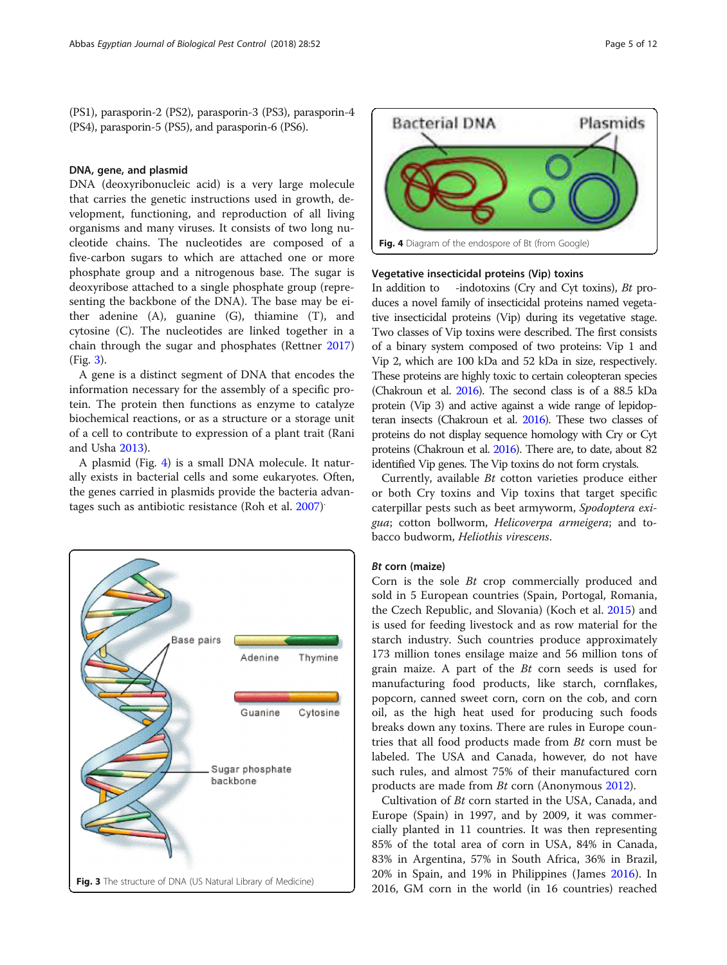(PS1), parasporin-2 (PS2), parasporin-3 (PS3), parasporin-4 (PS4), parasporin-5 (PS5), and parasporin-6 (PS6).

#### DNA, gene, and plasmid

DNA (deoxyribonucleic acid) is a very large molecule that carries the genetic instructions used in growth, development, functioning, and reproduction of all living organisms and many viruses. It consists of two long nucleotide chains. The nucleotides are composed of a five-carbon sugars to which are attached one or more phosphate group and a nitrogenous base. The sugar is deoxyribose attached to a single phosphate group (representing the backbone of the DNA). The base may be either adenine (A), guanine (G), thiamine (T), and cytosine (C). The nucleotides are linked together in a chain through the sugar and phosphates (Rettner [2017](#page-11-0)) (Fig. 3).

A gene is a distinct segment of DNA that encodes the information necessary for the assembly of a specific protein. The protein then functions as enzyme to catalyze biochemical reactions, or as a structure or a storage unit of a cell to contribute to expression of a plant trait (Rani and Usha [2013\)](#page-11-0).

A plasmid (Fig. 4) is a small DNA molecule. It naturally exists in bacterial cells and some eukaryotes. Often, the genes carried in plasmids provide the bacteria advan-tages such as antibiotic resistance (Roh et al. [2007](#page-11-0))<sup>.</sup>





# Vegetative insecticidal proteins (Vip) toxins

In addition to -indotoxins (Cry and Cyt toxins), Bt produces a novel family of insecticidal proteins named vegetative insecticidal proteins (Vip) during its vegetative stage. Two classes of Vip toxins were described. The first consists of a binary system composed of two proteins: Vip 1 and Vip 2, which are 100 kDa and 52 kDa in size, respectively. These proteins are highly toxic to certain coleopteran species (Chakroun et al. [2016](#page-10-0)). The second class is of a 88.5 kDa protein (Vip 3) and active against a wide range of lepidopteran insects (Chakroun et al. [2016\)](#page-10-0). These two classes of proteins do not display sequence homology with Cry or Cyt proteins (Chakroun et al. [2016\)](#page-10-0). There are, to date, about 82 identified Vip genes. The Vip toxins do not form crystals.

Currently, available Bt cotton varieties produce either or both Cry toxins and Vip toxins that target specific caterpillar pests such as beet armyworm, Spodoptera exigua; cotton bollworm, Helicoverpa armeigera; and tobacco budworm, Heliothis virescens.

# Bt corn (maize)

Corn is the sole Bt crop commercially produced and sold in 5 European countries (Spain, Portogal, Romania, the Czech Republic, and Slovania) (Koch et al. [2015](#page-11-0)) and is used for feeding livestock and as row material for the starch industry. Such countries produce approximately 173 million tones ensilage maize and 56 million tons of grain maize. A part of the Bt corn seeds is used for manufacturing food products, like starch, cornflakes, popcorn, canned sweet corn, corn on the cob, and corn oil, as the high heat used for producing such foods breaks down any toxins. There are rules in Europe countries that all food products made from Bt corn must be labeled. The USA and Canada, however, do not have such rules, and almost 75% of their manufactured corn products are made from Bt corn (Anonymous [2012](#page-10-0)).

Cultivation of Bt corn started in the USA, Canada, and Europe (Spain) in 1997, and by 2009, it was commercially planted in 11 countries. It was then representing 85% of the total area of corn in USA, 84% in Canada, 83% in Argentina, 57% in South Africa, 36% in Brazil, 20% in Spain, and 19% in Philippines (James [2016](#page-11-0)). In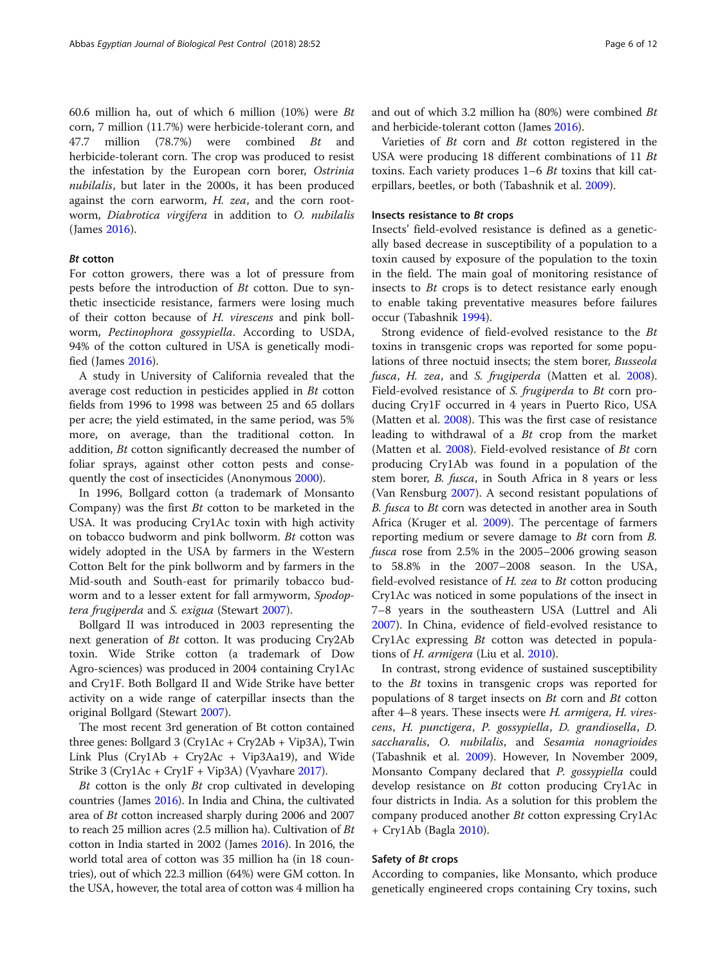60.6 million ha, out of which 6 million (10%) were Bt corn, 7 million (11.7%) were herbicide-tolerant corn, and 47.7 million (78.7%) were combined Bt and herbicide-tolerant corn. The crop was produced to resist the infestation by the European corn borer, Ostrinia nubilalis, but later in the 2000s, it has been produced against the corn earworm, H. zea, and the corn rootworm, Diabrotica virgifera in addition to O. nubilalis (James [2016\)](#page-11-0).

# Bt cotton

For cotton growers, there was a lot of pressure from pests before the introduction of Bt cotton. Due to synthetic insecticide resistance, farmers were losing much of their cotton because of H. virescens and pink bollworm, Pectinophora gossypiella. According to USDA, 94% of the cotton cultured in USA is genetically modified (James [2016\)](#page-11-0).

A study in University of California revealed that the average cost reduction in pesticides applied in Bt cotton fields from 1996 to 1998 was between 25 and 65 dollars per acre; the yield estimated, in the same period, was 5% more, on average, than the traditional cotton. In addition, Bt cotton significantly decreased the number of foliar sprays, against other cotton pests and consequently the cost of insecticides (Anonymous [2000](#page-10-0)).

In 1996, Bollgard cotton (a trademark of Monsanto Company) was the first Bt cotton to be marketed in the USA. It was producing Cry1Ac toxin with high activity on tobacco budworm and pink bollworm. Bt cotton was widely adopted in the USA by farmers in the Western Cotton Belt for the pink bollworm and by farmers in the Mid-south and South-east for primarily tobacco budworm and to a lesser extent for fall armyworm, Spodoptera frugiperda and S. exigua (Stewart [2007\)](#page-11-0).

Bollgard II was introduced in 2003 representing the next generation of Bt cotton. It was producing Cry2Ab toxin. Wide Strike cotton (a trademark of Dow Agro-sciences) was produced in 2004 containing Cry1Ac and Cry1F. Both Bollgard II and Wide Strike have better activity on a wide range of caterpillar insects than the original Bollgard (Stewart [2007](#page-11-0)).

The most recent 3rd generation of Bt cotton contained three genes: Bollgard 3 (Cry1Ac + Cry2Ab + Vip3A), Twin Link Plus (Cry1Ab + Cry2Ac + Vip3Aa19), and Wide Strike 3 (Cry1Ac + Cry1F + Vip3A) (Vyavhare [2017](#page-11-0)).

Bt cotton is the only Bt crop cultivated in developing countries (James [2016\)](#page-11-0). In India and China, the cultivated area of Bt cotton increased sharply during 2006 and 2007 to reach 25 million acres (2.5 million ha). Cultivation of  $Bt$ cotton in India started in 2002 (James [2016](#page-11-0)). In 2016, the world total area of cotton was 35 million ha (in 18 countries), out of which 22.3 million (64%) were GM cotton. In the USA, however, the total area of cotton was 4 million ha

and out of which 3.2 million ha (80%) were combined Bt and herbicide-tolerant cotton (James [2016\)](#page-11-0).

Varieties of Bt corn and Bt cotton registered in the USA were producing 18 different combinations of 11 Bt toxins. Each variety produces  $1-6$  *Bt* toxins that kill caterpillars, beetles, or both (Tabashnik et al. [2009](#page-11-0)).

# Insects resistance to Bt crops

Insects' field-evolved resistance is defined as a genetically based decrease in susceptibility of a population to a toxin caused by exposure of the population to the toxin in the field. The main goal of monitoring resistance of insects to Bt crops is to detect resistance early enough to enable taking preventative measures before failures occur (Tabashnik [1994](#page-11-0)).

Strong evidence of field-evolved resistance to the Bt toxins in transgenic crops was reported for some populations of three noctuid insects; the stem borer, Busseola fusca, H. zea, and S. frugiperda (Matten et al. [2008](#page-11-0)). Field-evolved resistance of S. frugiperda to Bt corn producing Cry1F occurred in 4 years in Puerto Rico, USA (Matten et al. [2008\)](#page-11-0). This was the first case of resistance leading to withdrawal of a Bt crop from the market (Matten et al. [2008\)](#page-11-0). Field-evolved resistance of Bt corn producing Cry1Ab was found in a population of the stem borer, B. fusca, in South Africa in 8 years or less (Van Rensburg [2007](#page-11-0)). A second resistant populations of B. fusca to Bt corn was detected in another area in South Africa (Kruger et al. [2009\)](#page-11-0). The percentage of farmers reporting medium or severe damage to Bt corn from B. fusca rose from 2.5% in the 2005–2006 growing season to 58.8% in the 2007–2008 season. In the USA, field-evolved resistance of H. zea to Bt cotton producing Cry1Ac was noticed in some populations of the insect in 7–8 years in the southeastern USA (Luttrel and Ali [2007](#page-11-0)). In China, evidence of field-evolved resistance to Cry1Ac expressing Bt cotton was detected in populations of H. armigera (Liu et al. [2010](#page-11-0)).

In contrast, strong evidence of sustained susceptibility to the Bt toxins in transgenic crops was reported for populations of 8 target insects on Bt corn and Bt cotton after 4–8 years. These insects were H. armigera, H. virescens, H. punctigera, P. gossypiella, D. grandiosella, D. saccharalis, O. nubilalis, and Sesamia nonagrioides (Tabashnik et al. [2009](#page-11-0)). However, In November 2009, Monsanto Company declared that P. gossypiella could develop resistance on Bt cotton producing Cry1Ac in four districts in India. As a solution for this problem the company produced another  $Bt$  cotton expressing Cry1Ac + Cry1Ab (Bagla [2010\)](#page-10-0).

# Safety of Bt crops

According to companies, like Monsanto, which produce genetically engineered crops containing Cry toxins, such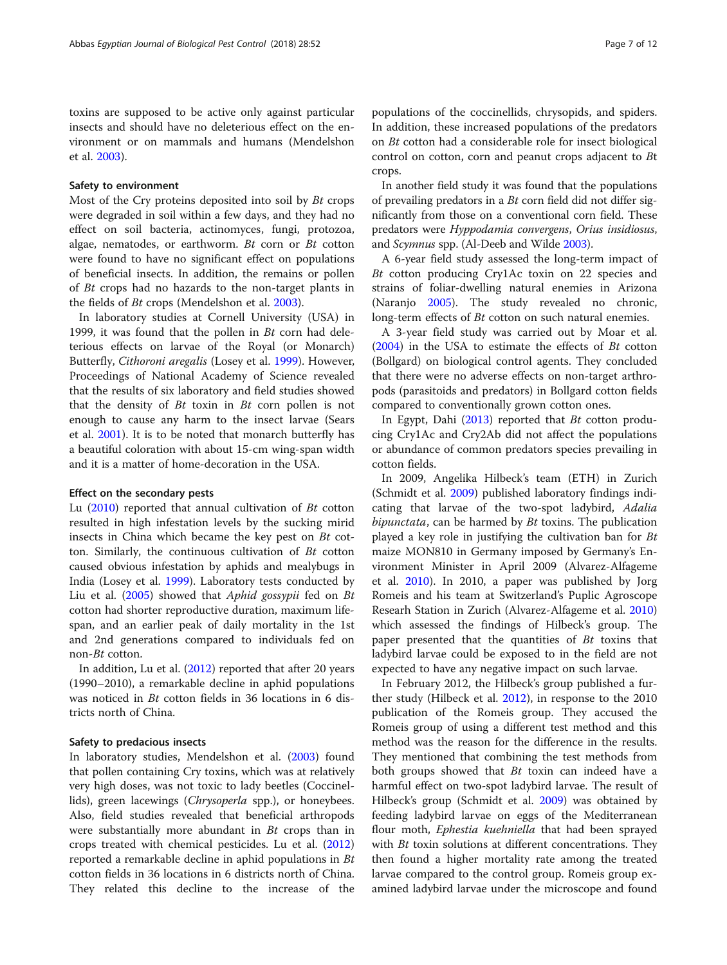toxins are supposed to be active only against particular insects and should have no deleterious effect on the environment or on mammals and humans (Mendelshon et al. [2003\)](#page-11-0).

#### Safety to environment

Most of the Cry proteins deposited into soil by Bt crops were degraded in soil within a few days, and they had no effect on soil bacteria, actinomyces, fungi, protozoa, algae, nematodes, or earthworm. Bt corn or Bt cotton were found to have no significant effect on populations of beneficial insects. In addition, the remains or pollen of Bt crops had no hazards to the non-target plants in the fields of Bt crops (Mendelshon et al. [2003\)](#page-11-0).

In laboratory studies at Cornell University (USA) in 1999, it was found that the pollen in  $Bt$  corn had deleterious effects on larvae of the Royal (or Monarch) Butterfly, Cithoroni aregalis (Losey et al. [1999](#page-11-0)). However, Proceedings of National Academy of Science revealed that the results of six laboratory and field studies showed that the density of  $Bt$  toxin in  $Bt$  corn pollen is not enough to cause any harm to the insect larvae (Sears et al. [2001\)](#page-11-0). It is to be noted that monarch butterfly has a beautiful coloration with about 15-cm wing-span width and it is a matter of home-decoration in the USA.

# Effect on the secondary pests

Lu  $(2010)$  $(2010)$  $(2010)$  reported that annual cultivation of Bt cotton resulted in high infestation levels by the sucking mirid insects in China which became the key pest on Bt cotton. Similarly, the continuous cultivation of Bt cotton caused obvious infestation by aphids and mealybugs in India (Losey et al. [1999](#page-11-0)). Laboratory tests conducted by Liu et al. [\(2005\)](#page-11-0) showed that Aphid gossypii fed on Bt cotton had shorter reproductive duration, maximum lifespan, and an earlier peak of daily mortality in the 1st and 2nd generations compared to individuals fed on non-Bt cotton.

In addition, Lu et al. ([2012](#page-11-0)) reported that after 20 years (1990–2010), a remarkable decline in aphid populations was noticed in Bt cotton fields in 36 locations in 6 districts north of China.

# Safety to predacious insects

In laboratory studies, Mendelshon et al. ([2003](#page-11-0)) found that pollen containing Cry toxins, which was at relatively very high doses, was not toxic to lady beetles (Coccinellids), green lacewings (*Chrysoperla* spp.), or honeybees. Also, field studies revealed that beneficial arthropods were substantially more abundant in Bt crops than in crops treated with chemical pesticides. Lu et al. ([2012](#page-11-0)) reported a remarkable decline in aphid populations in Bt cotton fields in 36 locations in 6 districts north of China. They related this decline to the increase of the

populations of the coccinellids, chrysopids, and spiders. In addition, these increased populations of the predators on Bt cotton had a considerable role for insect biological control on cotton, corn and peanut crops adjacent to Bt crops.

In another field study it was found that the populations of prevailing predators in a Bt corn field did not differ significantly from those on a conventional corn field. These predators were Hyppodamia convergens, Orius insidiosus, and Scymnus spp. (Al-Deeb and Wilde [2003\)](#page-10-0).

A 6-year field study assessed the long-term impact of Bt cotton producing Cry1Ac toxin on 22 species and strains of foliar-dwelling natural enemies in Arizona (Naranjo [2005](#page-11-0)). The study revealed no chronic, long-term effects of Bt cotton on such natural enemies.

A 3-year field study was carried out by Moar et al. ([2004\)](#page-11-0) in the USA to estimate the effects of Bt cotton (Bollgard) on biological control agents. They concluded that there were no adverse effects on non-target arthropods (parasitoids and predators) in Bollgard cotton fields compared to conventionally grown cotton ones.

In Egypt, Dahi [\(2013\)](#page-10-0) reported that Bt cotton producing Cry1Ac and Cry2Ab did not affect the populations or abundance of common predators species prevailing in cotton fields.

In 2009, Angelika Hilbeck's team (ETH) in Zurich (Schmidt et al. [2009\)](#page-11-0) published laboratory findings indicating that larvae of the two-spot ladybird, Adalia bipunctata, can be harmed by *Bt* toxins. The publication played a key role in justifying the cultivation ban for Bt maize MON810 in Germany imposed by Germany's Environment Minister in April 2009 (Alvarez-Alfageme et al. [2010\)](#page-10-0). In 2010, a paper was published by Jorg Romeis and his team at Switzerland's Puplic Agroscope Researh Station in Zurich (Alvarez-Alfageme et al. [2010](#page-10-0)) which assessed the findings of Hilbeck's group. The paper presented that the quantities of Bt toxins that ladybird larvae could be exposed to in the field are not expected to have any negative impact on such larvae.

In February 2012, the Hilbeck's group published a further study (Hilbeck et al. [2012](#page-11-0)), in response to the 2010 publication of the Romeis group. They accused the Romeis group of using a different test method and this method was the reason for the difference in the results. They mentioned that combining the test methods from both groups showed that  $Bt$  toxin can indeed have a harmful effect on two-spot ladybird larvae. The result of Hilbeck's group (Schmidt et al. [2009\)](#page-11-0) was obtained by feeding ladybird larvae on eggs of the Mediterranean flour moth, Ephestia kuehniella that had been sprayed with *Bt* toxin solutions at different concentrations. They then found a higher mortality rate among the treated larvae compared to the control group. Romeis group examined ladybird larvae under the microscope and found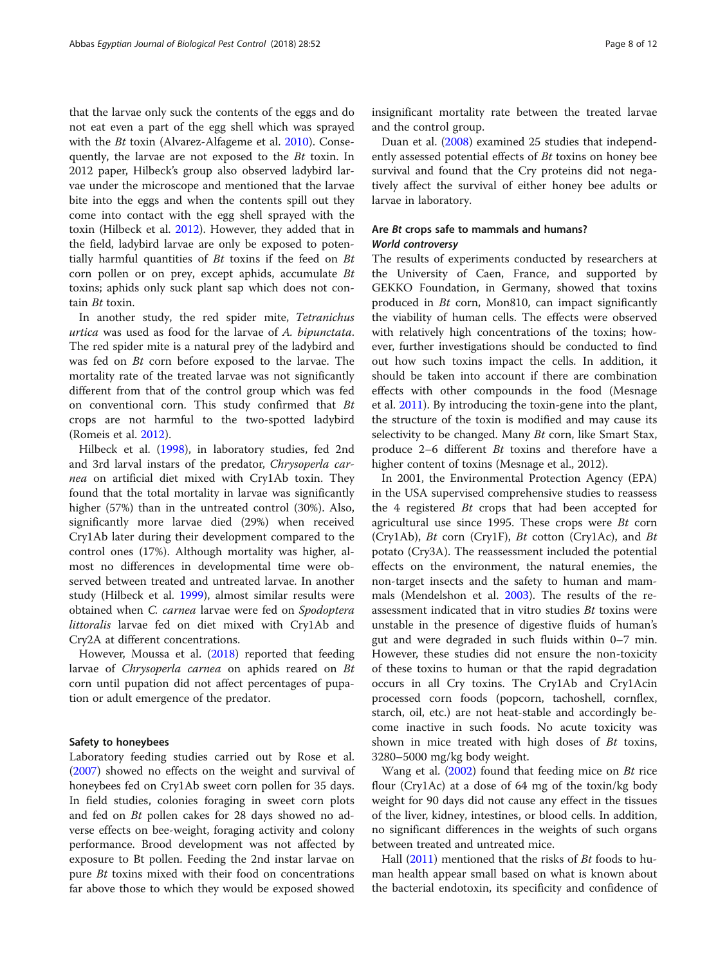that the larvae only suck the contents of the eggs and do not eat even a part of the egg shell which was sprayed with the *Bt* toxin (Alvarez-Alfageme et al. [2010](#page-10-0)). Consequently, the larvae are not exposed to the Bt toxin. In 2012 paper, Hilbeck's group also observed ladybird larvae under the microscope and mentioned that the larvae bite into the eggs and when the contents spill out they come into contact with the egg shell sprayed with the toxin (Hilbeck et al. [2012](#page-11-0)). However, they added that in the field, ladybird larvae are only be exposed to potentially harmful quantities of  $Bt$  toxins if the feed on  $Bt$ corn pollen or on prey, except aphids, accumulate Bt toxins; aphids only suck plant sap which does not contain Bt toxin.

In another study, the red spider mite, Tetranichus urtica was used as food for the larvae of A. bipunctata. The red spider mite is a natural prey of the ladybird and was fed on Bt corn before exposed to the larvae. The mortality rate of the treated larvae was not significantly different from that of the control group which was fed on conventional corn. This study confirmed that Bt crops are not harmful to the two-spotted ladybird (Romeis et al. [2012](#page-11-0)).

Hilbeck et al. ([1998](#page-11-0)), in laboratory studies, fed 2nd and 3rd larval instars of the predator, Chrysoperla carnea on artificial diet mixed with Cry1Ab toxin. They found that the total mortality in larvae was significantly higher (57%) than in the untreated control (30%). Also, significantly more larvae died (29%) when received Cry1Ab later during their development compared to the control ones (17%). Although mortality was higher, almost no differences in developmental time were observed between treated and untreated larvae. In another study (Hilbeck et al. [1999\)](#page-11-0), almost similar results were obtained when C. carnea larvae were fed on Spodoptera littoralis larvae fed on diet mixed with Cry1Ab and Cry2A at different concentrations.

However, Moussa et al. ([2018\)](#page-11-0) reported that feeding larvae of Chrysoperla carnea on aphids reared on Bt corn until pupation did not affect percentages of pupation or adult emergence of the predator.

#### Safety to honeybees

Laboratory feeding studies carried out by Rose et al. ([2007](#page-11-0)) showed no effects on the weight and survival of honeybees fed on Cry1Ab sweet corn pollen for 35 days. In field studies, colonies foraging in sweet corn plots and fed on Bt pollen cakes for 28 days showed no adverse effects on bee-weight, foraging activity and colony performance. Brood development was not affected by exposure to Bt pollen. Feeding the 2nd instar larvae on pure Bt toxins mixed with their food on concentrations far above those to which they would be exposed showed insignificant mortality rate between the treated larvae and the control group.

Duan et al. ([2008](#page-10-0)) examined 25 studies that independently assessed potential effects of *Bt* toxins on honey bee survival and found that the Cry proteins did not negatively affect the survival of either honey bee adults or larvae in laboratory.

# Are Bt crops safe to mammals and humans? World controversy

The results of experiments conducted by researchers at the University of Caen, France, and supported by GEKKO Foundation, in Germany, showed that toxins produced in Bt corn, Mon810, can impact significantly the viability of human cells. The effects were observed with relatively high concentrations of the toxins; however, further investigations should be conducted to find out how such toxins impact the cells. In addition, it should be taken into account if there are combination effects with other compounds in the food (Mesnage et al. [2011\)](#page-11-0). By introducing the toxin-gene into the plant, the structure of the toxin is modified and may cause its selectivity to be changed. Many Bt corn, like Smart Stax, produce 2–6 different Bt toxins and therefore have a higher content of toxins (Mesnage et al., 2012).

In 2001, the Environmental Protection Agency (EPA) in the USA supervised comprehensive studies to reassess the 4 registered Bt crops that had been accepted for agricultural use since 1995. These crops were  $Bt$  corn (Cry1Ab),  $Bt$  corn (Cry1F),  $Bt$  cotton (Cry1Ac), and  $Bt$ potato (Cry3A). The reassessment included the potential effects on the environment, the natural enemies, the non-target insects and the safety to human and mammals (Mendelshon et al. [2003](#page-11-0)). The results of the reassessment indicated that in vitro studies Bt toxins were unstable in the presence of digestive fluids of human's gut and were degraded in such fluids within 0–7 min. However, these studies did not ensure the non-toxicity of these toxins to human or that the rapid degradation occurs in all Cry toxins. The Cry1Ab and Cry1Acin processed corn foods (popcorn, tachoshell, cornflex, starch, oil, etc.) are not heat-stable and accordingly become inactive in such foods. No acute toxicity was shown in mice treated with high doses of  $Bt$  toxins, 3280–5000 mg/kg body weight.

Wang et al. [\(2002](#page-11-0)) found that feeding mice on Bt rice flour (Cry1Ac) at a dose of 64 mg of the toxin/kg body weight for 90 days did not cause any effect in the tissues of the liver, kidney, intestines, or blood cells. In addition, no significant differences in the weights of such organs between treated and untreated mice.

Hall ([2011\)](#page-11-0) mentioned that the risks of *Bt* foods to human health appear small based on what is known about the bacterial endotoxin, its specificity and confidence of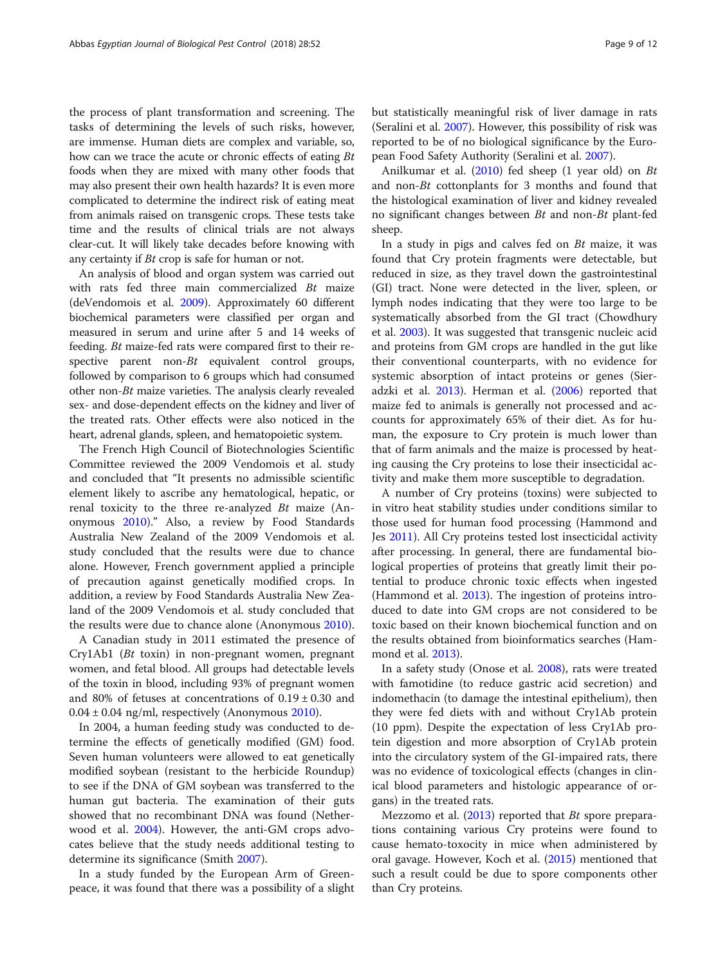the process of plant transformation and screening. The tasks of determining the levels of such risks, however, are immense. Human diets are complex and variable, so, how can we trace the acute or chronic effects of eating Bt foods when they are mixed with many other foods that may also present their own health hazards? It is even more complicated to determine the indirect risk of eating meat from animals raised on transgenic crops. These tests take time and the results of clinical trials are not always clear-cut. It will likely take decades before knowing with any certainty if Bt crop is safe for human or not.

An analysis of blood and organ system was carried out with rats fed three main commercialized Bt maize (deVendomois et al. [2009](#page-10-0)). Approximately 60 different biochemical parameters were classified per organ and measured in serum and urine after 5 and 14 weeks of feeding. Bt maize-fed rats were compared first to their respective parent non-Bt equivalent control groups, followed by comparison to 6 groups which had consumed other non-Bt maize varieties. The analysis clearly revealed sex- and dose-dependent effects on the kidney and liver of the treated rats. Other effects were also noticed in the heart, adrenal glands, spleen, and hematopoietic system.

The French High Council of Biotechnologies Scientific Committee reviewed the 2009 Vendomois et al. study and concluded that "It presents no admissible scientific element likely to ascribe any hematological, hepatic, or renal toxicity to the three re-analyzed Bt maize (Anonymous [2010](#page-10-0))." Also, a review by Food Standards Australia New Zealand of the 2009 Vendomois et al. study concluded that the results were due to chance alone. However, French government applied a principle of precaution against genetically modified crops. In addition, a review by Food Standards Australia New Zealand of the 2009 Vendomois et al. study concluded that the results were due to chance alone (Anonymous [2010](#page-10-0)).

A Canadian study in 2011 estimated the presence of Cry1Ab1 (Bt toxin) in non-pregnant women, pregnant women, and fetal blood. All groups had detectable levels of the toxin in blood, including 93% of pregnant women and 80% of fetuses at concentrations of  $0.19 \pm 0.30$  and  $0.04 \pm 0.04$  ng/ml, respectively (Anonymous [2010](#page-10-0)).

In 2004, a human feeding study was conducted to determine the effects of genetically modified (GM) food. Seven human volunteers were allowed to eat genetically modified soybean (resistant to the herbicide Roundup) to see if the DNA of GM soybean was transferred to the human gut bacteria. The examination of their guts showed that no recombinant DNA was found (Netherwood et al. [2004\)](#page-11-0). However, the anti-GM crops advocates believe that the study needs additional testing to determine its significance (Smith [2007\)](#page-11-0).

In a study funded by the European Arm of Greenpeace, it was found that there was a possibility of a slight

Anilkumar et al. [\(2010](#page-10-0)) fed sheep (1 year old) on Bt and non-Bt cottonplants for 3 months and found that the histological examination of liver and kidney revealed no significant changes between Bt and non-Bt plant-fed sheep.

In a study in pigs and calves fed on  $Bt$  maize, it was found that Cry protein fragments were detectable, but reduced in size, as they travel down the gastrointestinal (GI) tract. None were detected in the liver, spleen, or lymph nodes indicating that they were too large to be systematically absorbed from the GI tract (Chowdhury et al. [2003](#page-10-0)). It was suggested that transgenic nucleic acid and proteins from GM crops are handled in the gut like their conventional counterparts, with no evidence for systemic absorption of intact proteins or genes (Sieradzki et al. [2013\)](#page-11-0). Herman et al. [\(2006\)](#page-11-0) reported that maize fed to animals is generally not processed and accounts for approximately 65% of their diet. As for human, the exposure to Cry protein is much lower than that of farm animals and the maize is processed by heating causing the Cry proteins to lose their insecticidal activity and make them more susceptible to degradation.

A number of Cry proteins (toxins) were subjected to in vitro heat stability studies under conditions similar to those used for human food processing (Hammond and Jes [2011\)](#page-11-0). All Cry proteins tested lost insecticidal activity after processing. In general, there are fundamental biological properties of proteins that greatly limit their potential to produce chronic toxic effects when ingested (Hammond et al. [2013](#page-11-0)). The ingestion of proteins introduced to date into GM crops are not considered to be toxic based on their known biochemical function and on the results obtained from bioinformatics searches (Hammond et al. [2013\)](#page-11-0).

In a safety study (Onose et al. [2008](#page-11-0)), rats were treated with famotidine (to reduce gastric acid secretion) and indomethacin (to damage the intestinal epithelium), then they were fed diets with and without Cry1Ab protein (10 ppm). Despite the expectation of less Cry1Ab protein digestion and more absorption of Cry1Ab protein into the circulatory system of the GI-impaired rats, there was no evidence of toxicological effects (changes in clinical blood parameters and histologic appearance of organs) in the treated rats.

Mezzomo et al. ([2013](#page-11-0)) reported that Bt spore preparations containing various Cry proteins were found to cause hemato-toxocity in mice when administered by oral gavage. However, Koch et al. [\(2015\)](#page-11-0) mentioned that such a result could be due to spore components other than Cry proteins.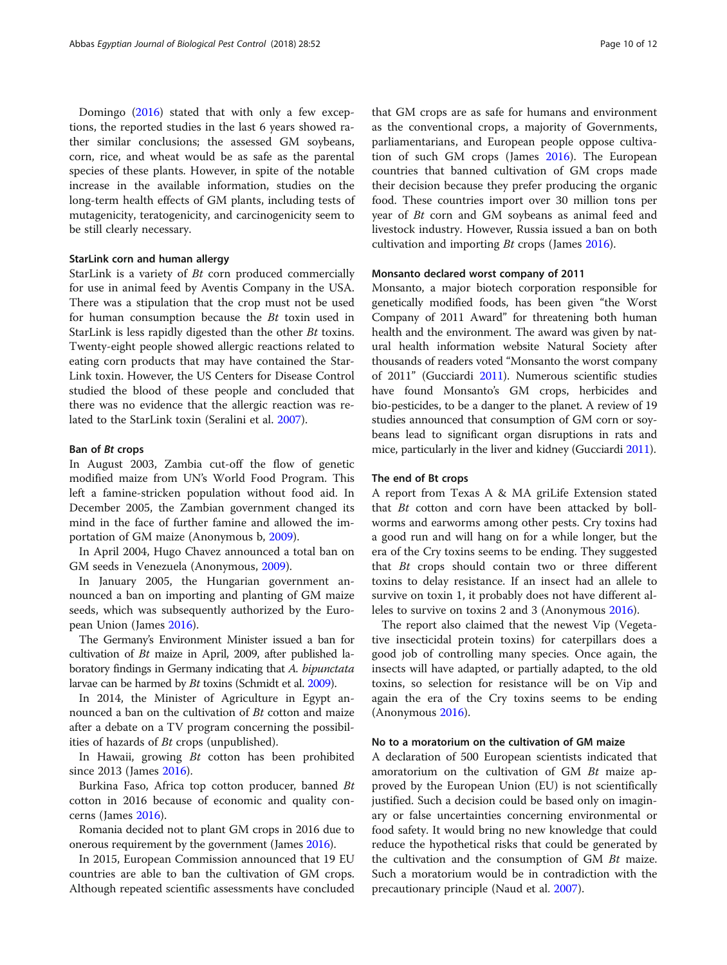Domingo [\(2016\)](#page-10-0) stated that with only a few exceptions, the reported studies in the last 6 years showed rather similar conclusions; the assessed GM soybeans, corn, rice, and wheat would be as safe as the parental species of these plants. However, in spite of the notable increase in the available information, studies on the long-term health effects of GM plants, including tests of mutagenicity, teratogenicity, and carcinogenicity seem to be still clearly necessary.

#### StarLink corn and human allergy

StarLink is a variety of Bt corn produced commercially for use in animal feed by Aventis Company in the USA. There was a stipulation that the crop must not be used for human consumption because the Bt toxin used in StarLink is less rapidly digested than the other Bt toxins. Twenty-eight people showed allergic reactions related to eating corn products that may have contained the Star-Link toxin. However, the US Centers for Disease Control studied the blood of these people and concluded that there was no evidence that the allergic reaction was related to the StarLink toxin (Seralini et al. [2007\)](#page-11-0).

#### Ban of Bt crops

In August 2003, Zambia cut-off the flow of genetic modified maize from UN's World Food Program. This left a famine-stricken population without food aid. In December 2005, the Zambian government changed its mind in the face of further famine and allowed the importation of GM maize (Anonymous b, [2009](#page-10-0)).

In April 2004, Hugo Chavez announced a total ban on GM seeds in Venezuela (Anonymous, [2009](#page-10-0)).

In January 2005, the Hungarian government announced a ban on importing and planting of GM maize seeds, which was subsequently authorized by the European Union (James [2016\)](#page-11-0).

The Germany's Environment Minister issued a ban for cultivation of Bt maize in April, 2009, after published laboratory findings in Germany indicating that A. bipunctata larvae can be harmed by Bt toxins (Schmidt et al. [2009\)](#page-11-0).

In 2014, the Minister of Agriculture in Egypt announced a ban on the cultivation of Bt cotton and maize after a debate on a TV program concerning the possibilities of hazards of Bt crops (unpublished).

In Hawaii, growing Bt cotton has been prohibited since 2013 (James [2016\)](#page-11-0).

Burkina Faso, Africa top cotton producer, banned Bt cotton in 2016 because of economic and quality concerns (James [2016](#page-11-0)).

Romania decided not to plant GM crops in 2016 due to onerous requirement by the government (James [2016](#page-11-0)).

In 2015, European Commission announced that 19 EU countries are able to ban the cultivation of GM crops. Although repeated scientific assessments have concluded

that GM crops are as safe for humans and environment as the conventional crops, a majority of Governments, parliamentarians, and European people oppose cultivation of such GM crops (James [2016\)](#page-11-0). The European countries that banned cultivation of GM crops made their decision because they prefer producing the organic food. These countries import over 30 million tons per year of Bt corn and GM soybeans as animal feed and livestock industry. However, Russia issued a ban on both cultivation and importing Bt crops (James [2016](#page-11-0)).

#### Monsanto declared worst company of 2011

Monsanto, a major biotech corporation responsible for genetically modified foods, has been given "the Worst Company of 2011 Award" for threatening both human health and the environment. The award was given by natural health information website Natural Society after thousands of readers voted "Monsanto the worst company of 2011" (Gucciardi [2011](#page-10-0)). Numerous scientific studies have found Monsanto's GM crops, herbicides and bio-pesticides, to be a danger to the planet. A review of 19 studies announced that consumption of GM corn or soybeans lead to significant organ disruptions in rats and mice, particularly in the liver and kidney (Gucciardi [2011](#page-10-0)).

### The end of Bt crops

A report from Texas A & MA griLife Extension stated that  $Bt$  cotton and corn have been attacked by bollworms and earworms among other pests. Cry toxins had a good run and will hang on for a while longer, but the era of the Cry toxins seems to be ending. They suggested that Bt crops should contain two or three different toxins to delay resistance. If an insect had an allele to survive on toxin 1, it probably does not have different alleles to survive on toxins 2 and 3 (Anonymous [2016\)](#page-10-0).

The report also claimed that the newest Vip (Vegetative insecticidal protein toxins) for caterpillars does a good job of controlling many species. Once again, the insects will have adapted, or partially adapted, to the old toxins, so selection for resistance will be on Vip and again the era of the Cry toxins seems to be ending (Anonymous [2016](#page-10-0)).

#### No to a moratorium on the cultivation of GM maize

A declaration of 500 European scientists indicated that amoratorium on the cultivation of GM Bt maize approved by the European Union (EU) is not scientifically justified. Such a decision could be based only on imaginary or false uncertainties concerning environmental or food safety. It would bring no new knowledge that could reduce the hypothetical risks that could be generated by the cultivation and the consumption of GM Bt maize. Such a moratorium would be in contradiction with the precautionary principle (Naud et al. [2007\)](#page-11-0).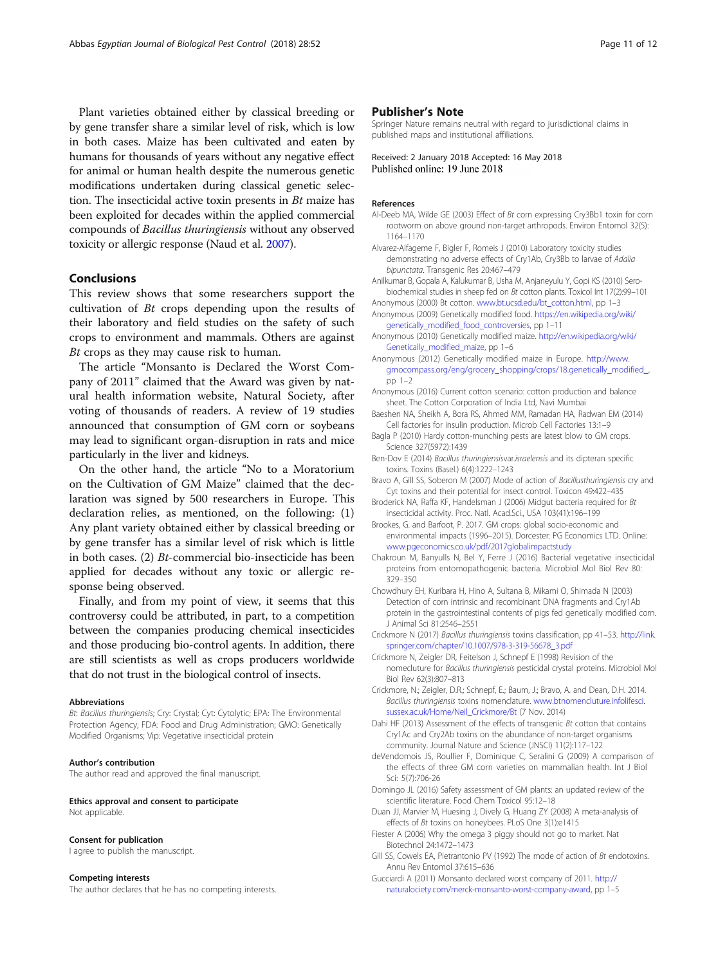<span id="page-10-0"></span>Plant varieties obtained either by classical breeding or by gene transfer share a similar level of risk, which is low in both cases. Maize has been cultivated and eaten by humans for thousands of years without any negative effect for animal or human health despite the numerous genetic modifications undertaken during classical genetic selection. The insecticidal active toxin presents in  $Bt$  maize has been exploited for decades within the applied commercial compounds of Bacillus thuringiensis without any observed toxicity or allergic response (Naud et al. [2007](#page-11-0)).

# Conclusions

This review shows that some researchers support the cultivation of Bt crops depending upon the results of their laboratory and field studies on the safety of such crops to environment and mammals. Others are against Bt crops as they may cause risk to human.

The article "Monsanto is Declared the Worst Company of 2011" claimed that the Award was given by natural health information website, Natural Society, after voting of thousands of readers. A review of 19 studies announced that consumption of GM corn or soybeans may lead to significant organ-disruption in rats and mice particularly in the liver and kidneys.

On the other hand, the article "No to a Moratorium on the Cultivation of GM Maize" claimed that the declaration was signed by 500 researchers in Europe. This declaration relies, as mentioned, on the following: (1) Any plant variety obtained either by classical breeding or by gene transfer has a similar level of risk which is little in both cases. (2) Bt-commercial bio-insecticide has been applied for decades without any toxic or allergic response being observed.

Finally, and from my point of view, it seems that this controversy could be attributed, in part, to a competition between the companies producing chemical insecticides and those producing bio-control agents. In addition, there are still scientists as well as crops producers worldwide that do not trust in the biological control of insects.

#### Abbreviations

Bt: Bacillus thuringiensis; Cry: Crystal; Cyt: Cytolytic; EPA: The Environmental Protection Agency; FDA: Food and Drug Administration; GMO: Genetically Modified Organisms; Vip: Vegetative insecticidal protein

#### Author's contribution

The author read and approved the final manuscript.

#### Ethics approval and consent to participate Not applicable.

#### Consent for publication

I agree to publish the manuscript.

#### Competing interests

The author declares that he has no competing interests.

## Publisher's Note

Springer Nature remains neutral with regard to jurisdictional claims in published maps and institutional affiliations.

Received: 2 January 2018 Accepted: 16 May 2018 Published online: 19 June 2018

#### References

- Al-Deeb MA, Wilde GE (2003) Effect of Bt corn expressing Cry3Bb1 toxin for corn rootworm on above ground non-target arthropods. Environ Entomol 32(5): 1164–1170
- Alvarez-Alfageme F, Bigler F, Romeis J (2010) Laboratory toxicity studies demonstrating no adverse effects of Cry1Ab, Cry3Bb to larvae of Adalia bipunctata. Transgenic Res 20:467–479
- Anilkumar B, Gopala A, Kalukumar B, Usha M, Anjaneyulu Y, Gopi KS (2010) Serobiochemical studies in sheep fed on Bt cotton plants. Toxicol Int 17(2):99–101
- Anonymous (2000) Bt cotton. [www.bt.ucsd.edu/bt\\_cotton.html](http://www.bt.ucsd.edu/bt_cotton.html), pp 1–3 Anonymous (2009) Genetically modified food. [https://en.wikipedia.org/wiki/](https://en.wikipedia.org/wiki/genetically_modified_food_controversies)
- [genetically\\_modified\\_food\\_controversies](https://en.wikipedia.org/wiki/genetically_modified_food_controversies), pp 1–11
- Anonymous (2010) Genetically modified maize. [http://en.wikipedia.org/wiki/](http://en.wikipedia.org/wiki/Genetically_modified_maize) [Genetically\\_modified\\_maize](http://en.wikipedia.org/wiki/Genetically_modified_maize), pp 1–6
- Anonymous (2012) Genetically modified maize in Europe. [http://www.](http://www.gmocompass.org/eng/grocery_shopping/crops/18.genetically_modified_) [gmocompass.org/eng/grocery\\_shopping/crops/18.genetically\\_modified\\_](http://www.gmocompass.org/eng/grocery_shopping/crops/18.genetically_modified_), pp 1–2
- Anonymous (2016) Current cotton scenario: cotton production and balance sheet. The Cotton Corporation of India Ltd, Navi Mumbai
- Baeshen NA, Sheikh A, Bora RS, Ahmed MM, Ramadan HA, Radwan EM (2014) Cell factories for insulin production. Microb Cell Factories 13:1–9
- Bagla P (2010) Hardy cotton-munching pests are latest blow to GM crops. Science 327(5972):1439
- Ben-Dov E (2014) Bacillus thuringiensisvar.israelensis and its dipteran specific toxins. Toxins (Basel.) 6(4):1222–1243
- Bravo A, Gill SS, Soberon M (2007) Mode of action of Bacillusthuringiensis cry and Cyt toxins and their potential for insect control. Toxicon 49:422–435
- Broderick NA, Raffa KF, Handelsman J (2006) Midgut bacteria required for Bt insecticidal activity. Proc. Natl. Acad.Sci., USA 103(41):196–199
- Brookes, G. and Barfoot, P. 2017. GM crops: global socio-economic and environmental impacts (1996–2015). Dorcester: PG Economics LTD. Online: [www.pgeconomics.co.uk/pdf/2017globalimpactstudy](http://www.pgeconomics.co.uk/pdf/2017globalimpactstudy)
- Chakroun M, Banyulls N, Bel Y, Ferre J (2016) Bacterial vegetative insecticidal proteins from entomopathogenic bacteria. Microbiol Mol Biol Rev 80: 329–350
- Chowdhury EH, Kuribara H, Hino A, Sultana B, Mikami O, Shimada N (2003) Detection of corn intrinsic and recombinant DNA fragments and Cry1Ab protein in the gastrointestinal contents of pigs fed genetically modified corn. J Animal Sci 81:2546–2551
- Crickmore N (2017) Bacillus thuringiensis toxins classification, pp 41–53. [http://link.](http://link.springer.com/chapter/10.1007/978-3-319-56678_3.pdf) [springer.com/chapter/10.1007/978-3-319-56678\\_3.pdf](http://link.springer.com/chapter/10.1007/978-3-319-56678_3.pdf)

Crickmore N, Zeigler DR, Feitelson J, Schnepf E (1998) Revision of the nomecluture for Bacillus thuringiensis pesticidal crystal proteins. Microbiol Mol Biol Rev 62(3):807–813

Crickmore, N.; Zeigler, D.R.; Schnepf, E.; Baum, J.; Bravo, A. and Dean, D.H. 2014. Bacillus thuringiensis toxins nomenclature. [www.btnomencluture.infolifesci.](http://www.btnomencluture.infolifesci.sussex.ac.uk/Home/Neil_Crickmore/Bt) [sussex.ac.uk/Home/Neil\\_Crickmore/Bt](http://www.btnomencluture.infolifesci.sussex.ac.uk/Home/Neil_Crickmore/Bt) (7 Nov. 2014)

- Dahi HF (2013) Assessment of the effects of transgenic Bt cotton that contains Cry1Ac and Cry2Ab toxins on the abundance of non-target organisms community. Journal Nature and Science (JNSCI) 11(2):117–122
- deVendomois JS, Roullier F, Dominique C, Seralini G (2009) A comparison of the effects of three GM corn varieties on mammalian health. Int J Biol Sci: 5(7):706-26
- Domingo JL (2016) Safety assessment of GM plants: an updated review of the scientific literature. Food Chem Toxicol 95:12–18
- Duan JJ, Marvier M, Huesing J, Dively G, Huang ZY (2008) A meta-analysis of effects of Bt toxins on honeybees. PLoS One 3(1):e1415
- Fiester A (2006) Why the omega 3 piggy should not go to market. Nat Biotechnol 24:1472–1473
- Gill SS, Cowels EA, Pietrantonio PV (1992) The mode of action of Bt endotoxins. Annu Rev Entomol 37:615–636
- Gucciardi A (2011) Monsanto declared worst company of 2011. [http://](http://naturalociety.com/merck-monsanto-worst-company-award) [naturalociety.com/merck-monsanto-worst-company-award](http://naturalociety.com/merck-monsanto-worst-company-award), pp 1–5